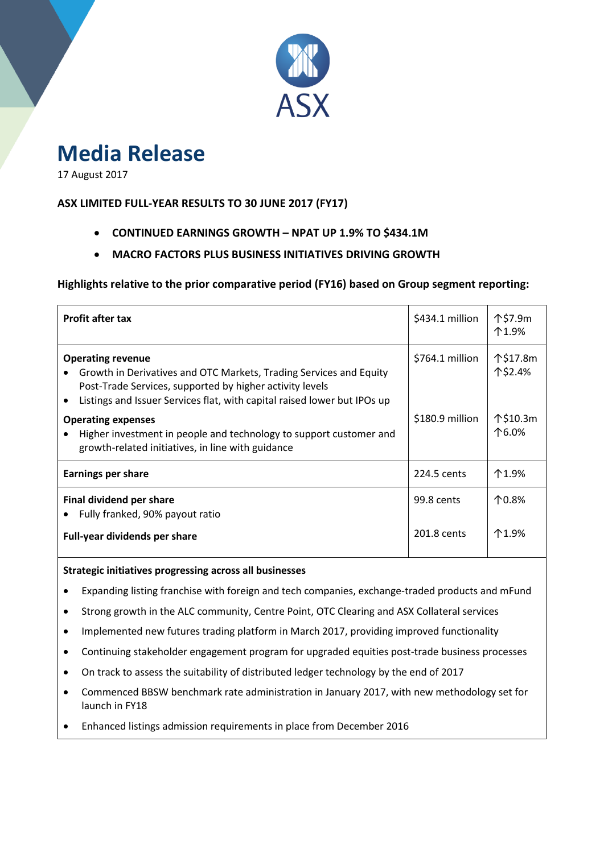

# **Media Release**

17 August 2017

## **ASX LIMITED FULL-YEAR RESULTS TO 30 JUNE 2017 (FY17)**

- **CONTINUED EARNINGS GROWTH – NPAT UP 1.9% TO \$434.1M**
- **MACRO FACTORS PLUS BUSINESS INITIATIVES DRIVING GROWTH**

**Highlights relative to the prior comparative period (FY16) based on Group segment reporting:**

| <b>Profit after tax</b>                                                                                                                                                                                                                                                                                                                                                                        | $$434.1$ million                    | 个\$7.9m<br>个1.9%                         |
|------------------------------------------------------------------------------------------------------------------------------------------------------------------------------------------------------------------------------------------------------------------------------------------------------------------------------------------------------------------------------------------------|-------------------------------------|------------------------------------------|
| <b>Operating revenue</b><br>Growth in Derivatives and OTC Markets, Trading Services and Equity<br>Post-Trade Services, supported by higher activity levels<br>Listings and Issuer Services flat, with capital raised lower but IPOs up<br><b>Operating expenses</b><br>Higher investment in people and technology to support customer and<br>growth-related initiatives, in line with guidance | $$764.1$ million<br>\$180.9 million | 个\$17.8m<br>个\$2.4%<br>个\$10.3m<br>个6.0% |
| <b>Earnings per share</b>                                                                                                                                                                                                                                                                                                                                                                      | 224.5 cents                         | 个1.9%                                    |
| Final dividend per share<br>Fully franked, 90% payout ratio<br>Full-year dividends per share                                                                                                                                                                                                                                                                                                   | 99.8 cents<br>201.8 cents           | 个0.8%<br>个1.9%                           |

### **Strategic initiatives progressing across all businesses**

- Expanding listing franchise with foreign and tech companies, exchange-traded products and mFund
- Strong growth in the ALC community, Centre Point, OTC Clearing and ASX Collateral services
- Implemented new futures trading platform in March 2017, providing improved functionality
- Continuing stakeholder engagement program for upgraded equities post-trade business processes
- On track to assess the suitability of distributed ledger technology by the end of 2017
- Commenced BBSW benchmark rate administration in January 2017, with new methodology set for launch in FY18
- Enhanced listings admission requirements in place from December 2016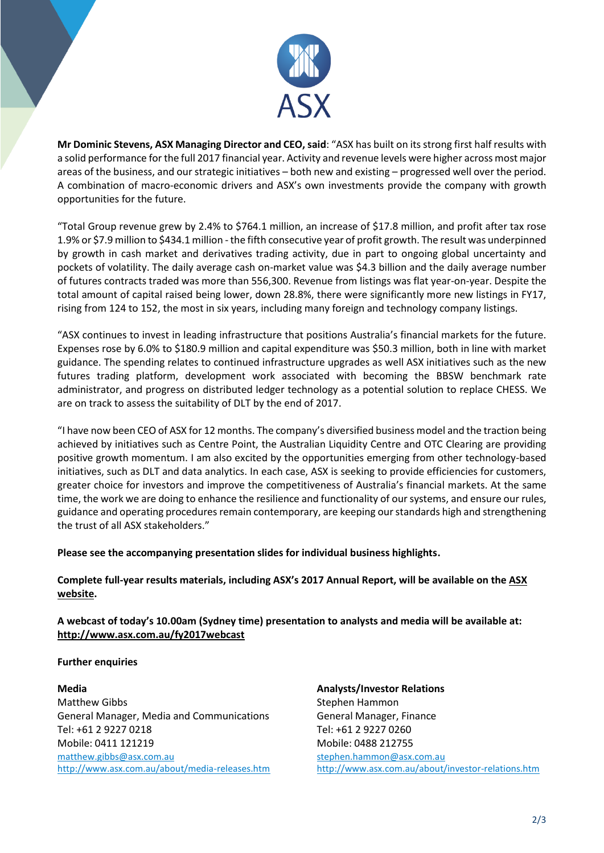

**Mr Dominic Stevens, ASX Managing Director and CEO, said**: "ASX has built on its strong first half results with a solid performance forthe full 2017 financial year. Activity and revenue levels were higher across most major areas of the business, and our strategic initiatives – both new and existing – progressed well over the period. A combination of macro-economic drivers and ASX's own investments provide the company with growth opportunities for the future.

"Total Group revenue grew by 2.4% to \$764.1 million, an increase of \$17.8 million, and profit after tax rose 1.9% or \$7.9 million to \$434.1 million - the fifth consecutive year of profit growth. The result was underpinned by growth in cash market and derivatives trading activity, due in part to ongoing global uncertainty and pockets of volatility. The daily average cash on-market value was \$4.3 billion and the daily average number of futures contracts traded was more than 556,300. Revenue from listings was flat year-on-year. Despite the total amount of capital raised being lower, down 28.8%, there were significantly more new listings in FY17, rising from 124 to 152, the most in six years, including many foreign and technology company listings.

"ASX continues to invest in leading infrastructure that positions Australia's financial markets for the future. Expenses rose by 6.0% to \$180.9 million and capital expenditure was \$50.3 million, both in line with market guidance. The spending relates to continued infrastructure upgrades as well ASX initiatives such as the new futures trading platform, development work associated with becoming the BBSW benchmark rate administrator, and progress on distributed ledger technology as a potential solution to replace CHESS. We are on track to assess the suitability of DLT by the end of 2017.

"I have now been CEO of ASX for 12 months. The company's diversified business model and the traction being achieved by initiatives such as Centre Point, the Australian Liquidity Centre and OTC Clearing are providing positive growth momentum. I am also excited by the opportunities emerging from other technology-based initiatives, such as DLT and data analytics. In each case, ASX is seeking to provide efficiencies for customers, greater choice for investors and improve the competitiveness of Australia's financial markets. At the same time, the work we are doing to enhance the resilience and functionality of our systems, and ensure our rules, guidance and operating procedures remain contemporary, are keeping our standards high and strengthening the trust of all ASX stakeholders."

**Please see the accompanying presentation slides for individual business highlights.**

**Complete full-year results materials, including ASX's 2017 Annual Report, will be available on th[e ASX](http://www.asx.com.au/about/asx-market-announcements.htm)  [website.](http://www.asx.com.au/about/asx-market-announcements.htm)**

**A webcast of today's 10.00am (Sydney time) presentation to analysts and media will be available at: <http://www.asx.com.au/fy2017webcast>**

## **Further enquiries**

### **Media**

Matthew Gibbs General Manager, Media and Communications Tel: +61 2 9227 0218 Mobile: 0411 121219 [matthew.gibbs@asx.com.au](mailto:matthew.gibbs@asx.com.au) <http://www.asx.com.au/about/media-releases.htm> **Analysts/Investor Relations** Stephen Hammon General Manager, Finance Tel: +61 2 9227 0260 Mobile: 0488 212755 [stephen.hammon@asx.com.au](mailto:stephen.hammon@asx.com.au) <http://www.asx.com.au/about/investor-relations.htm>